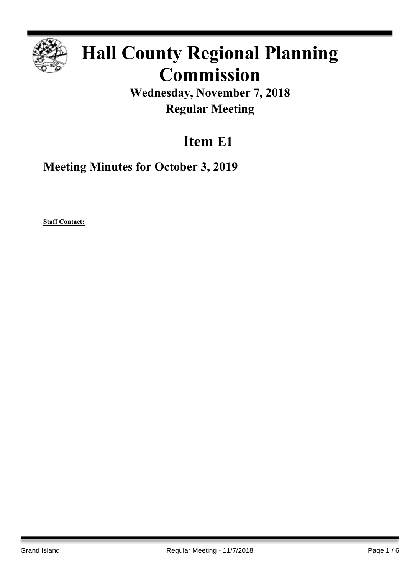

# **Hall County Regional Planning Commission**

**Wednesday, November 7, 2018 Regular Meeting**

# **Item E1**

**Meeting Minutes for October 3, 2019**

**Staff Contact:**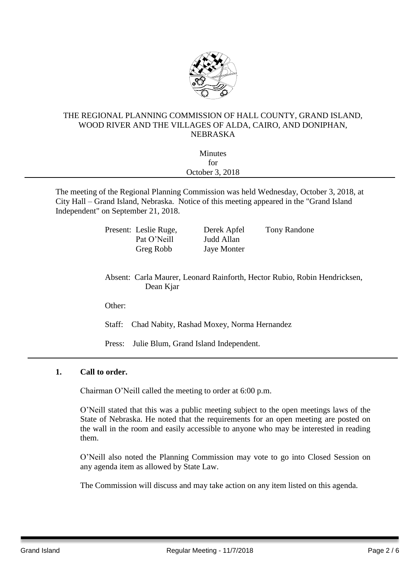

### THE REGIONAL PLANNING COMMISSION OF HALL COUNTY, GRAND ISLAND, WOOD RIVER AND THE VILLAGES OF ALDA, CAIRO, AND DONIPHAN, NEBRASKA

| for | October 3, 2018 |                |
|-----|-----------------|----------------|
|     |                 | <b>Minutes</b> |
|     |                 |                |
|     |                 |                |

City Hall – Grand Island, Nebraska. Notice of this meeting appeared in the "Grand Island Independent" on September 21, 2018.

> Present: Leslie Ruge, Derek Apfel Tony Randone Pat O'Neill Judd Allan Greg Robb Jaye Monter

Absent: Carla Maurer, Leonard Rainforth, Hector Rubio, Robin Hendricksen, Dean Kjar

Other:

Staff: Chad Nabity, Rashad Moxey, Norma Hernandez

Press: Julie Blum, Grand Island Independent.

# **1. Call to order.**

Chairman O'Neill called the meeting to order at 6:00 p.m.

O'Neill stated that this was a public meeting subject to the open meetings laws of the State of Nebraska. He noted that the requirements for an open meeting are posted on the wall in the room and easily accessible to anyone who may be interested in reading them.

O'Neill also noted the Planning Commission may vote to go into Closed Session on any agenda item as allowed by State Law.

The Commission will discuss and may take action on any item listed on this agenda.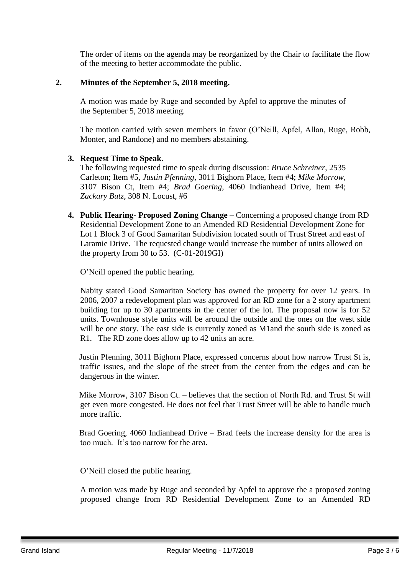The order of items on the agenda may be reorganized by the Chair to facilitate the flow of the meeting to better accommodate the public.

### **2. Minutes of the September 5, 2018 meeting.**

A motion was made by Ruge and seconded by Apfel to approve the minutes of the September 5, 2018 meeting.

The motion carried with seven members in favor (O'Neill, Apfel, Allan, Ruge, Robb, Monter, and Randone) and no members abstaining.

#### **3. Request Time to Speak.**

The following requested time to speak during discussion: *Bruce Schreiner*, 2535 Carleton; Item #5, *Justin Pfenning*, 3011 Bighorn Place, Item #4; *Mike Morrow*, 3107 Bison Ct, Item #4; *Brad Goering*, 4060 Indianhead Drive, Item #4; *Zackary Butz*, 308 N. Locust, #6

**4. Public Hearing- Proposed Zoning Change –** Concerning a proposed change from RD Residential Development Zone to an Amended RD Residential Development Zone for Lot 1 Block 3 of Good Samaritan Subdivision located south of Trust Street and east of Laramie Drive. The requested change would increase the number of units allowed on the property from 30 to 53. (C-01-2019GI)

O'Neill opened the public hearing.

Nabity stated Good Samaritan Society has owned the property for over 12 years. In 2006, 2007 a redevelopment plan was approved for an RD zone for a 2 story apartment building for up to 30 apartments in the center of the lot. The proposal now is for 52 units. Townhouse style units will be around the outside and the ones on the west side will be one story. The east side is currently zoned as M1and the south side is zoned as R1. The RD zone does allow up to 42 units an acre.

 Justin Pfenning, 3011 Bighorn Place, expressed concerns about how narrow Trust St is, traffic issues, and the slope of the street from the center from the edges and can be dangerous in the winter.

 Mike Morrow, 3107 Bison Ct. – believes that the section of North Rd. and Trust St will get even more congested. He does not feel that Trust Street will be able to handle much more traffic.

 Brad Goering, 4060 Indianhead Drive – Brad feels the increase density for the area is too much. It's too narrow for the area.

O'Neill closed the public hearing.

A motion was made by Ruge and seconded by Apfel to approve the a proposed zoning proposed change from RD Residential Development Zone to an Amended RD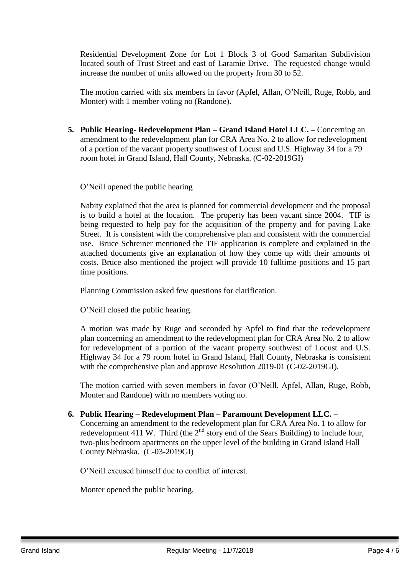Residential Development Zone for Lot 1 Block 3 of Good Samaritan Subdivision located south of Trust Street and east of Laramie Drive. The requested change would increase the number of units allowed on the property from 30 to 52.

The motion carried with six members in favor (Apfel, Allan, O'Neill, Ruge, Robb, and Monter) with 1 member voting no (Randone).

**5. Public Hearing- Redevelopment Plan – Grand Island Hotel LLC. –** Concerning an amendment to the redevelopment plan for CRA Area No. 2 to allow for redevelopment of a portion of the vacant property southwest of Locust and U.S. Highway 34 for a 79 room hotel in Grand Island, Hall County, Nebraska. (C-02-2019GI)

O'Neill opened the public hearing

Nabity explained that the area is planned for commercial development and the proposal is to build a hotel at the location. The property has been vacant since 2004. TIF is being requested to help pay for the acquisition of the property and for paving Lake Street. It is consistent with the comprehensive plan and consistent with the commercial use. Bruce Schreiner mentioned the TIF application is complete and explained in the attached documents give an explanation of how they come up with their amounts of costs. Bruce also mentioned the project will provide 10 fulltime positions and 15 part time positions.

Planning Commission asked few questions for clarification.

O'Neill closed the public hearing.

A motion was made by Ruge and seconded by Apfel to find that the redevelopment plan concerning an amendment to the redevelopment plan for CRA Area No. 2 to allow for redevelopment of a portion of the vacant property southwest of Locust and U.S. Highway 34 for a 79 room hotel in Grand Island, Hall County, Nebraska is consistent with the comprehensive plan and approve Resolution 2019-01 (C-02-2019GI).

The motion carried with seven members in favor (O'Neill, Apfel, Allan, Ruge, Robb, Monter and Randone) with no members voting no.

# **6. Public Hearing – Redevelopment Plan – Paramount Development LLC.** –

Concerning an amendment to the redevelopment plan for CRA Area No. 1 to allow for redevelopment 411 W. Third (the  $2<sup>nd</sup>$  story end of the Sears Building) to include four, two-plus bedroom apartments on the upper level of the building in Grand Island Hall County Nebraska. (C-03-2019GI)

O'Neill excused himself due to conflict of interest.

Monter opened the public hearing.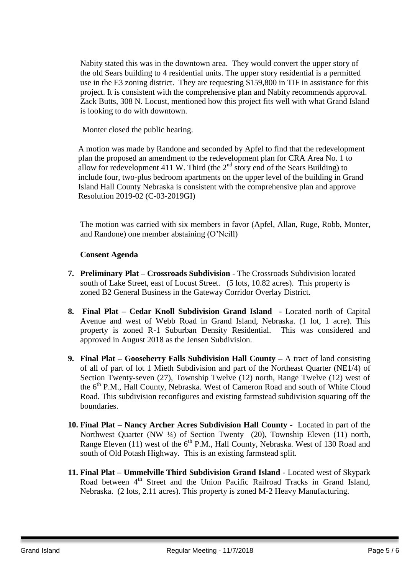Nabity stated this was in the downtown area. They would convert the upper story of the old Sears building to 4 residential units. The upper story residential is a permitted use in the E3 zoning district. They are requesting \$159,800 in TIF in assistance for this project. It is consistent with the comprehensive plan and Nabity recommends approval. Zack Butts, 308 N. Locust, mentioned how this project fits well with what Grand Island is looking to do with downtown.

Monter closed the public hearing.

A motion was made by Randone and seconded by Apfel to find that the redevelopment plan the proposed an amendment to the redevelopment plan for CRA Area No. 1 to allow for redevelopment 411 W. Third (the  $2<sup>nd</sup>$  story end of the Sears Building) to include four, two-plus bedroom apartments on the upper level of the building in Grand Island Hall County Nebraska is consistent with the comprehensive plan and approve Resolution 2019-02 (C-03-2019GI)

The motion was carried with six members in favor (Apfel, Allan, Ruge, Robb, Monter, and Randone) one member abstaining (O'Neill)

# **Consent Agenda**

- **7. Preliminary Plat – Crossroads Subdivision -** The Crossroads Subdivision located south of Lake Street, east of Locust Street. (5 lots, 10.82 acres). This property is zoned B2 General Business in the Gateway Corridor Overlay District.
- **8. Final Plat – Cedar Knoll Subdivision Grand Island -** Located north of Capital Avenue and west of Webb Road in Grand Island, Nebraska. (1 lot, 1 acre). This property is zoned R-1 Suburban Density Residential. This was considered and approved in August 2018 as the Jensen Subdivision.
- **9. Final Plat – Gooseberry Falls Subdivision Hall County –** A tract of land consisting of all of part of lot 1 Mieth Subdivision and part of the Northeast Quarter (NE1/4) of Section Twenty-seven (27), Township Twelve (12) north, Range Twelve (12) west of the 6<sup>th</sup> P.M., Hall County, Nebraska. West of Cameron Road and south of White Cloud Road. This subdivision reconfigures and existing farmstead subdivision squaring off the boundaries.
- **10. Final Plat – Nancy Archer Acres Subdivision Hall County** Located in part of the Northwest Quarter (NW ¼) of Section Twenty (20), Township Eleven (11) north, Range Eleven (11) west of the  $6<sup>th</sup>$  P.M., Hall County, Nebraska. West of 130 Road and south of Old Potash Highway. This is an existing farmstead split.
- **11. Final Plat – Ummelville Third Subdivision Grand Island -** Located west of Skypark Road between  $4<sup>th</sup>$  Street and the Union Pacific Railroad Tracks in Grand Island, Nebraska. (2 lots, 2.11 acres). This property is zoned M-2 Heavy Manufacturing.